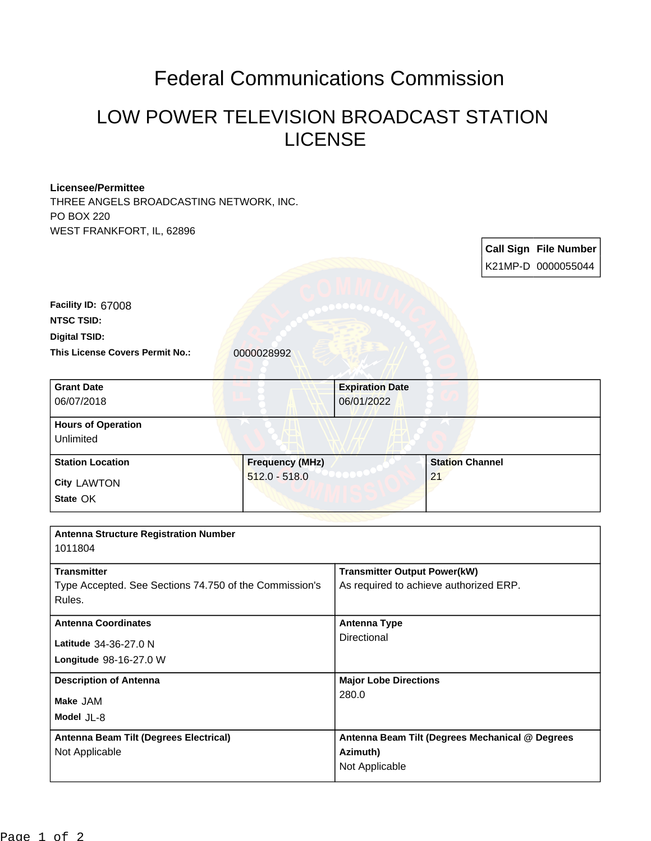## Federal Communications Commission

## LOW POWER TELEVISION BROADCAST STATION LICENSE

## **Licensee/Permittee**

THREE ANGELS BROADCASTING NETWORK, INC. PO BOX 220 WEST FRANKFORT, IL, 62896

|                                                                  |                        |                                                 |                        |  | <b>Call Sign File Number</b> |
|------------------------------------------------------------------|------------------------|-------------------------------------------------|------------------------|--|------------------------------|
|                                                                  |                        |                                                 |                        |  | K21MP-D 0000055044           |
| Facility ID: 67008<br><b>NTSC TSID:</b>                          |                        |                                                 |                        |  |                              |
| <b>Digital TSID:</b>                                             |                        |                                                 |                        |  |                              |
| This License Covers Permit No.:                                  | 0000028992             |                                                 |                        |  |                              |
| <b>Grant Date</b><br>06/07/2018                                  |                        | <b>Expiration Date</b><br>06/01/2022            |                        |  |                              |
| <b>Hours of Operation</b><br>Unlimited                           |                        |                                                 |                        |  |                              |
| <b>Station Location</b>                                          | <b>Frequency (MHz)</b> |                                                 | <b>Station Channel</b> |  |                              |
| <b>City LAWTON</b>                                               | $512.0 - 518.0$        |                                                 | 21                     |  |                              |
| State OK                                                         |                        |                                                 |                        |  |                              |
|                                                                  |                        |                                                 |                        |  |                              |
| <b>Antenna Structure Registration Number</b><br>1011804          |                        |                                                 |                        |  |                              |
| <b>Transmitter</b>                                               |                        | <b>Transmitter Output Power(kW)</b>             |                        |  |                              |
| Type Accepted. See Sections 74.750 of the Commission's<br>Rules. |                        | As required to achieve authorized ERP.          |                        |  |                              |
| <b>Antenna Coordinates</b>                                       |                        | <b>Antenna Type</b>                             |                        |  |                              |
| Latitude 34-36-27.0 N                                            |                        | Directional                                     |                        |  |                              |
| Longitude 98-16-27.0 W                                           |                        |                                                 |                        |  |                              |
| <b>Description of Antenna</b>                                    |                        | <b>Major Lobe Directions</b>                    |                        |  |                              |
| Make JAM                                                         |                        | 280.0                                           |                        |  |                              |
| Model JL-8                                                       |                        |                                                 |                        |  |                              |
| Antenna Beam Tilt (Degrees Electrical)                           |                        | Antenna Beam Tilt (Degrees Mechanical @ Degrees |                        |  |                              |
| Not Applicable                                                   |                        | Azimuth)                                        |                        |  |                              |
|                                                                  |                        | Not Applicable                                  |                        |  |                              |